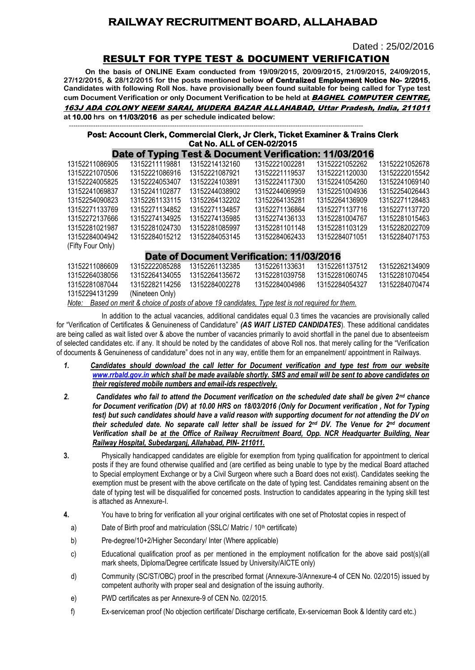## **RAILWAY RECRUITMENT BOARD, ALLAHABAD**

Dated : 25/02/2016

### RESULT FOR TYPE TEST & DOCUMENT VERIFICATION

**On the basis of ONLINE Exam conducted from 19/09/2015, 20/09/2015, 21/09/2015, 24/09/2015, 27/12/2015, & 28/12/2015 for the posts mentioned below of Centralized Employment Notice No- 2/2015, Candidates with following Roll Nos. have provisionally been found suitable for being called for Type test cum Document Verification or only Document Verification to be held at** BAGHEL COMPUTER CENTRE, 163J ADA COLONY NEEM SARAI, MUDERA BAZAR ALLAHABAD, Uttar Pradesh, India, 211011

#### -------------------------------------------------------------------------------------------------------------------------------------- **Post: Account Clerk, Commercial Clerk, Jr Clerk, Ticket Examiner & Trains Clerk Cat No. ALL of CEN-02/2015**

|                                           |                 |                | Date of Typing Test & Document Verification: 11/03/2016 |                |                |
|-------------------------------------------|-----------------|----------------|---------------------------------------------------------|----------------|----------------|
| 13152211086905                            | 13152211119881  | 13152214132160 | 13152221002281                                          | 13152221052262 | 13152221052678 |
| 13152221070506                            | 13152221086916  | 13152221087921 | 13152221119537                                          | 13152221120030 | 13152222015542 |
| 13152224005825                            | 13152224053407  | 13152224103891 | 13152224117300                                          | 13152241054260 | 13152241069140 |
| 13152241069837                            | 13152241102877  | 13152244038902 | 13152244069959                                          | 13152251004936 | 13152254026443 |
| 13152254090823                            | 13152261133115  | 13152264132202 | 13152264135281                                          | 13152264136909 | 13152271128483 |
| 13152271133769                            | 13152271134852  | 13152271134857 | 13152271136864                                          | 13152271137716 | 13152271137720 |
| 13152272137666                            | 13152274134925  | 13152274135985 | 13152274136133                                          | 13152281004767 | 13152281015463 |
| 13152281021987                            | 13152281024730  | 13152281085997 | 13152281101148                                          | 13152281103129 | 13152282022709 |
| 13152284004942                            | 13152284015212  | 13152284053145 | 13152284062433                                          | 13152284071051 | 13152284071753 |
| (Fifty Four Only)                         |                 |                |                                                         |                |                |
| Date of Document Verification: 11/03/2016 |                 |                |                                                         |                |                |
| 13152211086609                            | 13152222085288  | 13152261132385 | 13152261133631                                          | 13152261137512 | 13152262134909 |
| 13152264038056                            | 13152264134055  | 13152264135672 | 13152281039758                                          | 13152281060745 | 13152281070454 |
| 13152281087044                            | 13152282114256  | 13152284002278 | 13152284004986                                          | 13152284054327 | 13152284070474 |
| 13152294131299                            | (Nineteen Only) |                |                                                         |                |                |
| تتبرز المتمردة الملكان                    |                 |                |                                                         |                |                |

*Note: Based on merit & choice of posts of above 19 candidates, Type test is not required for them.*

In addition to the actual vacancies, additional candidates equal 0.3 times the vacancies are provisionally called for "Verification of Certificates & Genuineness of Candidature" *(AS WAIT LISTED CANDIDATES*). These additional candidates are being called as wait listed over & above the number of vacancies primarily to avoid shortfall in the panel due to absenteeism of selected candidates etc. if any. It should be noted by the candidates of above Roll nos. that merely calling for the "Verification of documents & Genuineness of candidature" does not in any way, entitle them for an empanelment/ appointment in Railways.

- *1. Candidates should download the call letter for Document verification and type test from our website [www.rrbald.gov.in](http://www.rrbald.gov.in/) which shall be made available shortly. SMS and email will be sent to above candidates on their registered mobile numbers and email-ids respectively.*
- *2. Candidates who fail to attend the Document verification on the scheduled date shall be given 2nd chance for Document verification (DV) at 10.00 HRS on 18/03/2016 (Only for Document verification , Not for Typing test) but such candidates should have a valid reason with supporting document for not attending the DV on their scheduled date. No separate call letter shall be issued for 2nd DV. The Venue for 2nd document Verification shall be at the Office of Railway Recruitment Board, Opp. NCR Headquarter Building, Near Railway Hospital, Subedarganj, Allahabad, PIN- 211011.*
- **3.** Physically handicapped candidates are eligible for exemption from typing qualification for appointment to clerical posts if they are found otherwise qualified and (are certified as being unable to type by the medical Board attached to Special employment Exchange or by a Civil Surgeon where such a Board does not exist). Candidates seeking the exemption must be present with the above certificate on the date of typing test. Candidates remaining absent on the date of typing test will be disqualified for concerned posts. Instruction to candidates appearing in the typing skill test is attached as Annexure-I.
- **4.** You have to bring for verification all your original certificates with one set of Photostat copies in respect of
	- a) Date of Birth proof and matriculation (SSLC/ Matric / 10<sup>th</sup> certificate)
	- b) Pre-degree/10+2/Higher Secondary/ Inter (Where applicable)
	- c) Educational qualification proof as per mentioned in the employment notification for the above said post(s)(all mark sheets. Diploma/Degree certificate Issued by University/AICTE only)
	- d) Community (SC/ST/OBC) proof in the prescribed format (Annexure-3/Annexure-4 of CEN No. 02/2015) issued by competent authority with proper seal and designation of the issuing authority.
	- e) PWD certificates as per Annexure-9 of CEN No. 02/2015.
	- f) Ex-serviceman proof (No objection certificate/ Discharge certificate, Ex-serviceman Book & Identity card etc.)

**at 10.00 hrs on 11/03/2016 as per schedule indicated below:**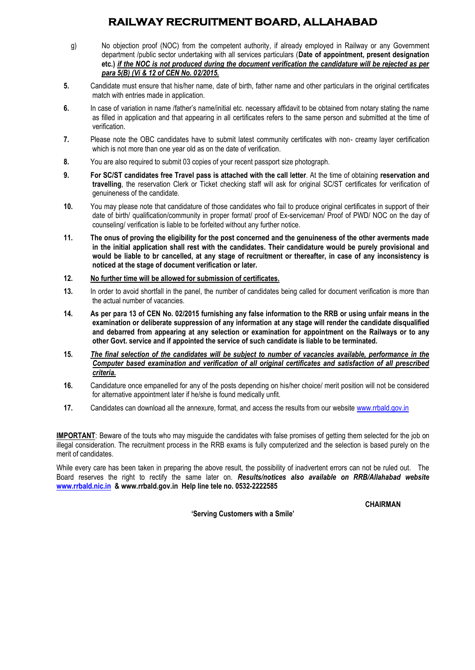# **RAILWAY RECRUITMENT BOARD, ALLAHABAD**

- g) No objection proof (NOC) from the competent authority, if already employed in Railway or any Government department /public sector undertaking with all services particulars (**Date of appointment, present designation etc.)** *if the NOC is not produced during the document verification the candidature will be rejected as per para 5(B) (Vi & 12 of CEN No. 02/2015.*
- **5.** Candidate must ensure that his/her name, date of birth, father name and other particulars in the original certificates match with entries made in application.
- **6.** In case of variation in name /father's name/initial etc. necessary affidavit to be obtained from notary stating the name as filled in application and that appearing in all certificates refers to the same person and submitted at the time of verification.
- **7.** Please note the OBC candidates have to submit latest community certificates with non- creamy layer certification which is not more than one year old as on the date of verification.
- **8.** You are also required to submit 03 copies of your recent passport size photograph.
- **9. For SC/ST candidates free Travel pass is attached with the call letter**. At the time of obtaining **reservation and travelling**, the reservation Clerk or Ticket checking staff will ask for original SC/ST certificates for verification of genuineness of the candidate.
- **10.** You may please note that candidature of those candidates who fail to produce original certificates in support of their date of birth/ qualification/community in proper format/ proof of Ex-serviceman/ Proof of PWD/ NOC on the day of counseling/ verification is liable to be forfeited without any further notice.
- **11. The onus of proving the eligibility for the post concerned and the genuineness of the other averments made in the initial application shall rest with the candidates. Their candidature would be purely provisional and would be liable to br cancelled, at any stage of recruitment or thereafter, in case of any inconsistency is noticed at the stage of document verification or later.**
- **12. No further time will be allowed for submission of certificates.**
- **13.** In order to avoid shortfall in the panel, the number of candidates being called for document verification is more than the actual number of vacancies.
- **14. As per para 13 of CEN No. 02/2015 furnishing any false information to the RRB or using unfair means in the examination or deliberate suppression of any information at any stage will render the candidate disqualified and debarred from appearing at any selection or examination for appointment on the Railways or to any other Govt. service and if appointed the service of such candidate is liable to be terminated.**
- **15.** *The final selection of the candidates will be subject to number of vacancies available, performance in the Computer based examination and verification of all original certificates and satisfaction of all prescribed criteria.*
- **16.** Candidature once empanelled for any of the posts depending on his/her choice/ merit position will not be considered for alternative appointment later if he/she is found medically unfit.
- **17.** Candidates can download all the annexure, format, and access the results from our websit[e www.rrbald.gov.in](http://www.rrbald.gov.in/)

**IMPORTANT**: Beware of the touts who may misguide the candidates with false promises of getting them selected for the job on illegal consideration. The recruitment process in the RRB exams is fully computerized and the selection is based purely on the merit of candidates.

While every care has been taken in preparing the above result, the possibility of inadvertent errors can not be ruled out. The Board reserves the right to rectify the same later on. *Results/notices also available on RRB/Allahabad website*  **[www.rrbald.nic.in](http://www.rrbald.nic.in/) & www.rrbald.gov.in Help line tele no. 0532-2222585**

**'Serving Customers with a Smile'**

 **CHAIRMAN**